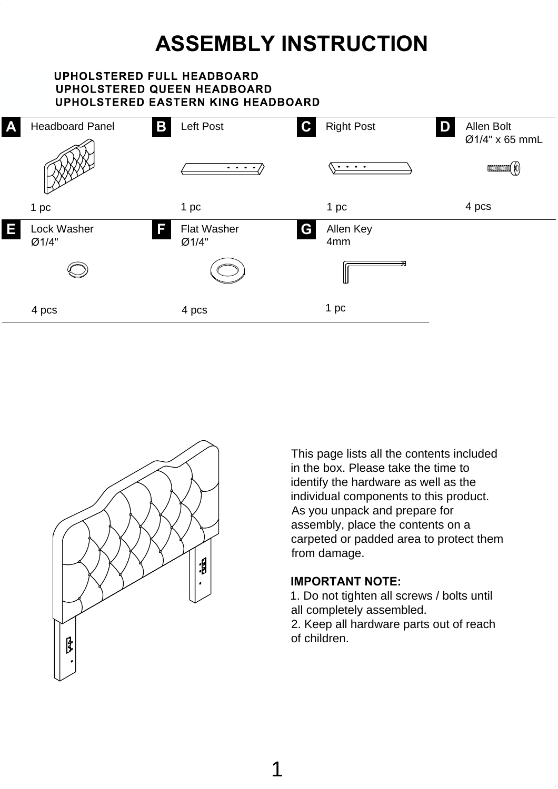# **ASSEMBLY INSTRUCTION**

### **UPHOLSTERED FULL HEADBOARD UPHOLSTERED QUEEN HEADBOARD UPHOLSTERED EASTERN KING HEADBOARD**





This page lists all the contents included in the box. Please take the time to identify the hardware as well as the individual components to this product. As you unpack and prepare for assembly, place the contents on a carpeted or padded area to protect them from damage.

### **IMPORTANT NOTE:**

1. Do not tighten all screws / bolts until all completely assembled.

2. Keep all hardware parts out of reach of children.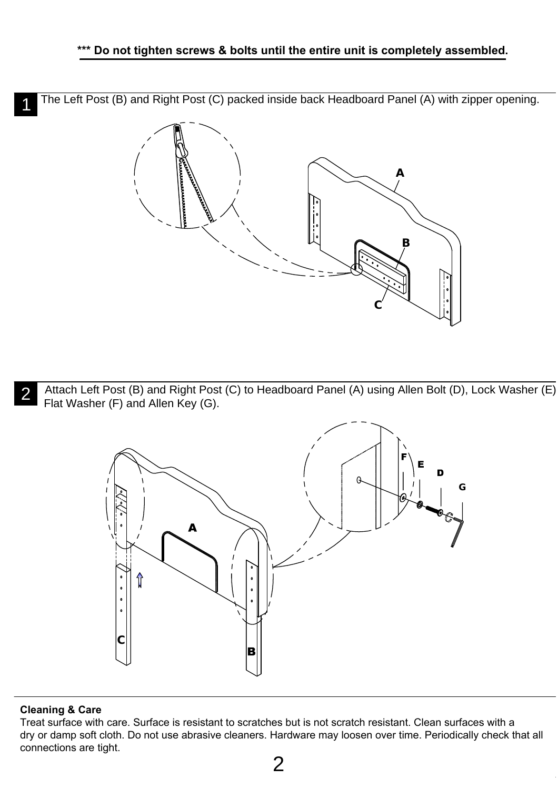The Left Post (B) and Right Post (C) packed inside back Headboard Panel (A) with zipper opening. 1



Attach Left Post (B) and Right Post (C) to Headboard Panel (A) using Allen Bolt (D), Lock Washer (E), **2** Attach Left Post (B) and Right Post Flat Washer (F) and Allen Key (G).



### **Cleaning & Care**

Treat surface with care. Surface is resistant to scratches but is not scratch resistant. Clean surfaces with a dry or damp soft cloth. Do not use abrasive cleaners. Hardware may loosen over time. Periodically check that all connections are tight.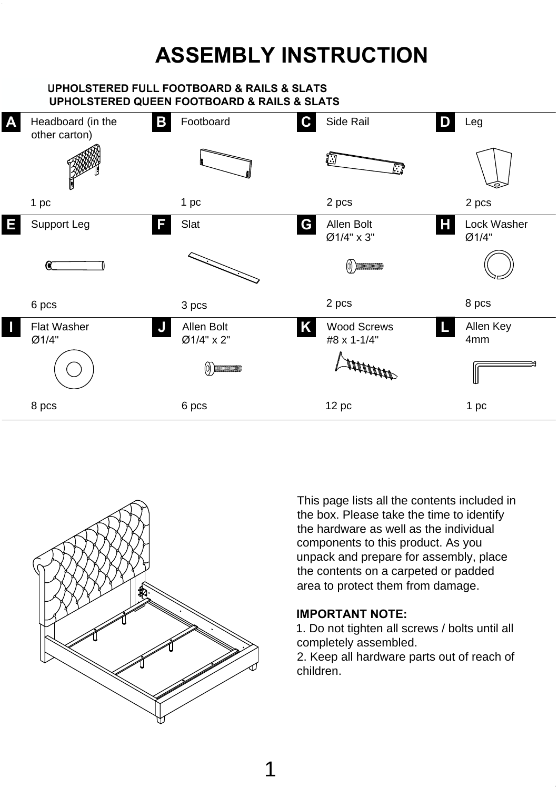## **ASSEMBLY INSTRUCTION**

### **466BF-3 UPHOLSTERED FULL FOOTBOARD & RAILS & SLATS UPHOLSTERED QUEEN FOOTBOARD & RAILS & SLATS**





This page lists all the contents included in the box. Please take the time to identify the hardware as well as the individual components to this product. As you unpack and prepare for assembly, place the contents on a carpeted or padded area to protect them from damage.

### **IMPORTANT NOTE:**

1. Do not tighten all screws / bolts until all completely assembled.

2. Keep all hardware parts out of reach of children.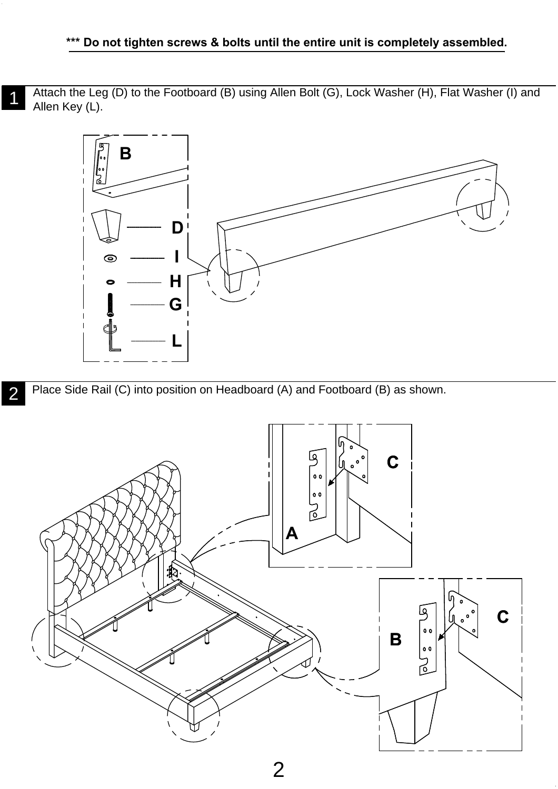Attach the Leg (D) to the Footboard (B) using Allen Bolt (G), Lock Washer (H), Flat Washer (I) and<br>Allen Key (L) Allen Key (L).



Place Side Rail (C) into position on Headboard (A) and Footboard (B) as shown. 2

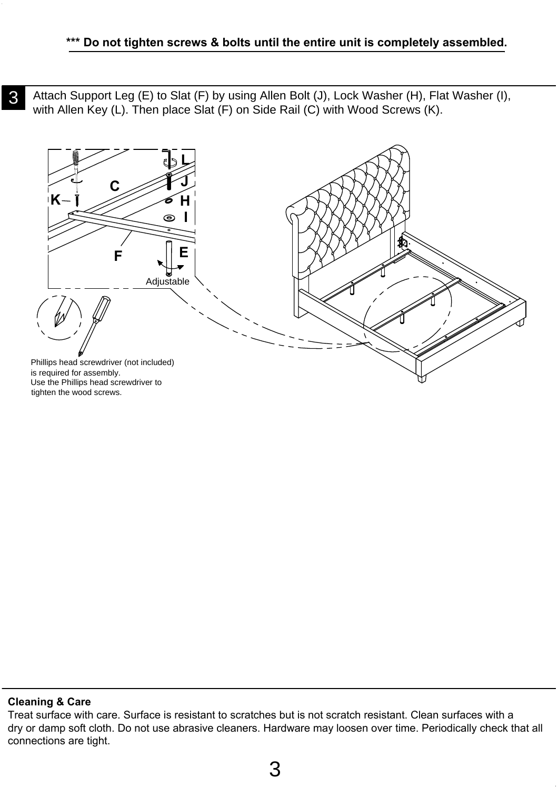**3** Attach Support Leg (E) to Slat (F) by using Allen Bolt (J), Lock Washer (H), Flat Washer (I), with Allen Key (L). Then place Slat (F) on Side Rail (C) with Wood Screws (K).



#### **Cleaning & Care**

Treat surface with care. Surface is resistant to scratches but is not scratch resistant. Clean surfaces with a dry or damp soft cloth. Do not use abrasive cleaners. Hardware may loosen over time. Periodically check that all connections are tight.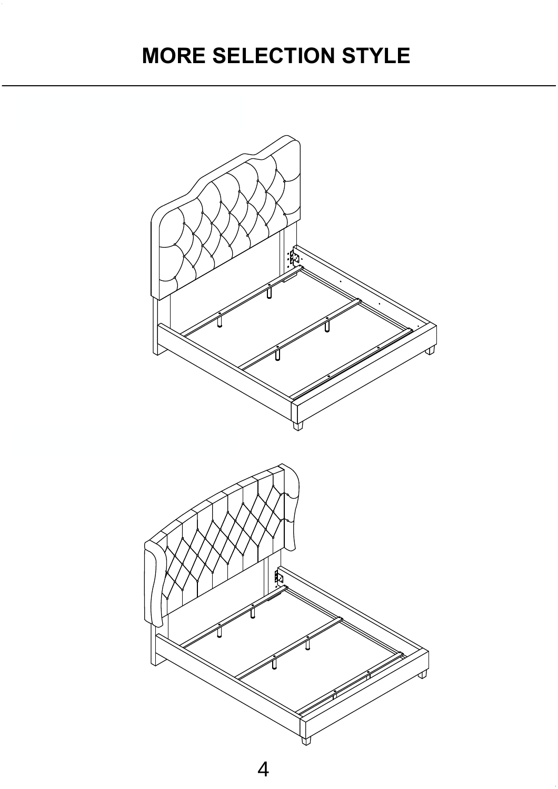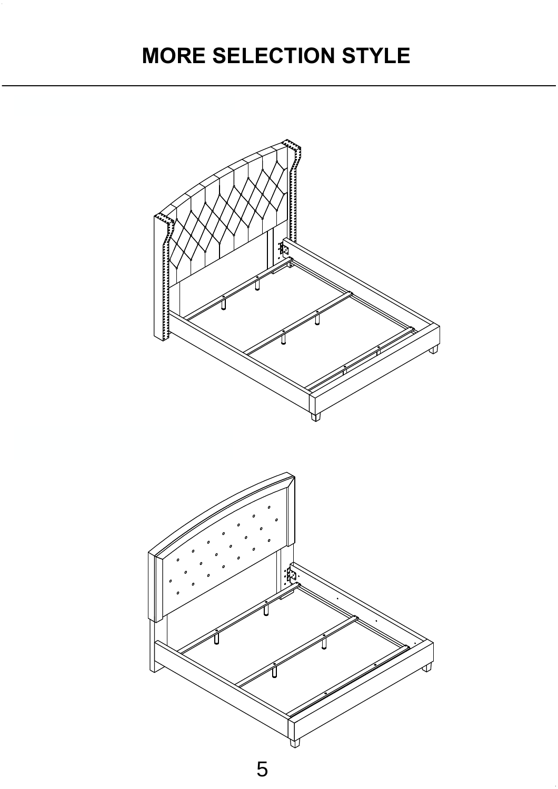